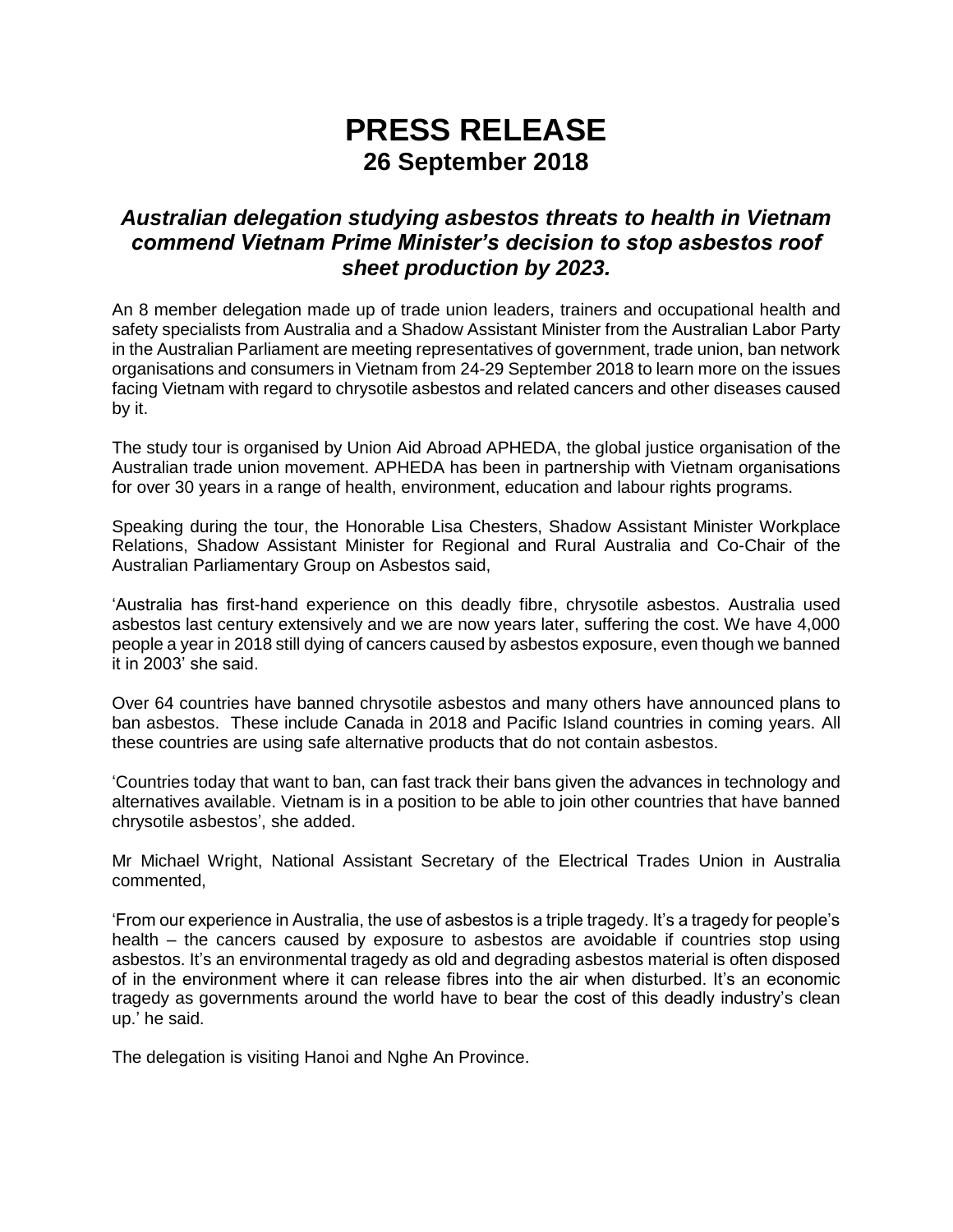## **PRESS RELEASE 26 September 2018**

## *Australian delegation studying asbestos threats to health in Vietnam commend Vietnam Prime Minister's decision to stop asbestos roof sheet production by 2023.*

An 8 member delegation made up of trade union leaders, trainers and occupational health and safety specialists from Australia and a Shadow Assistant Minister from the Australian Labor Party in the Australian Parliament are meeting representatives of government, trade union, ban network organisations and consumers in Vietnam from 24-29 September 2018 to learn more on the issues facing Vietnam with regard to chrysotile asbestos and related cancers and other diseases caused by it.

The study tour is organised by Union Aid Abroad APHEDA, the global justice organisation of the Australian trade union movement. APHEDA has been in partnership with Vietnam organisations for over 30 years in a range of health, environment, education and labour rights programs.

Speaking during the tour, the Honorable Lisa Chesters, Shadow Assistant Minister Workplace Relations, Shadow Assistant Minister for Regional and Rural Australia and Co-Chair of the Australian Parliamentary Group on Asbestos said,

'Australia has first-hand experience on this deadly fibre, chrysotile asbestos. Australia used asbestos last century extensively and we are now years later, suffering the cost. We have 4,000 people a year in 2018 still dying of cancers caused by asbestos exposure, even though we banned it in 2003' she said.

Over 64 countries have banned chrysotile asbestos and many others have announced plans to ban asbestos. These include Canada in 2018 and Pacific Island countries in coming years. All these countries are using safe alternative products that do not contain asbestos.

'Countries today that want to ban, can fast track their bans given the advances in technology and alternatives available. Vietnam is in a position to be able to join other countries that have banned chrysotile asbestos', she added.

Mr Michael Wright, National Assistant Secretary of the Electrical Trades Union in Australia commented,

'From our experience in Australia, the use of asbestos is a triple tragedy. It's a tragedy for people's health – the cancers caused by exposure to asbestos are avoidable if countries stop using asbestos. It's an environmental tragedy as old and degrading asbestos material is often disposed of in the environment where it can release fibres into the air when disturbed. It's an economic tragedy as governments around the world have to bear the cost of this deadly industry's clean up.' he said.

The delegation is visiting Hanoi and Nghe An Province.